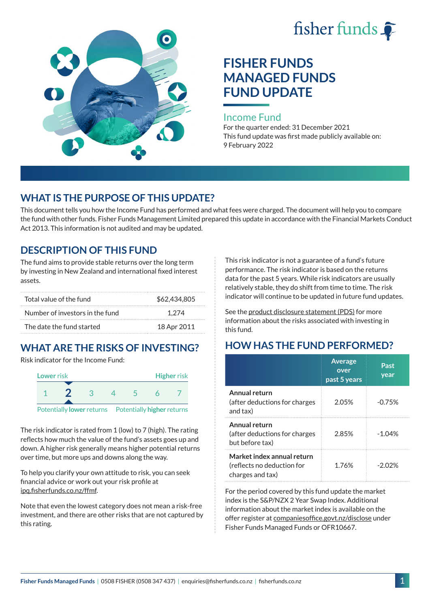



# **FISHER FUNDS MANAGED FUNDS FUND UPDATE**

#### Income Fund

For the quarter ended: 31 December 2021 This fund update was first made publicly available on: 9 February 2022

### **WHAT IS THE PURPOSE OF THIS UPDATE?**

This document tells you how the Income Fund has performed and what fees were charged. The document will help you to compare the fund with other funds. Fisher Funds Management Limited prepared this update in accordance with the Financial Markets Conduct Act 2013. This information is not audited and may be updated.

### **DESCRIPTION OF THIS FUND**

The fund aims to provide stable returns over the long term by investing in New Zealand and international fixed interest assets.

| Total value of the fund         | \$62,434,805 |
|---------------------------------|--------------|
| Number of investors in the fund | 1.274        |
| The date the fund started       | 18 Apr 2011  |

## **WHAT ARE THE RISKS OF INVESTING?**

Risk indicator for the Income Fund:



The risk indicator is rated from 1 (low) to 7 (high). The rating reflects how much the value of the fund's assets goes up and down. A higher risk generally means higher potential returns over time, but more ups and downs along the way.

To help you clarify your own attitude to risk, you can seek financial advice or work out your risk profile at [ipq.fisherfunds.co.nz/ffmf](https://ipq.fisherfunds.co.nz/ffmf).

Note that even the lowest category does not mean a risk-free investment, and there are other risks that are not captured by this rating.

This risk indicator is not a guarantee of a fund's future performance. The risk indicator is based on the returns data for the past 5 years. While risk indicators are usually relatively stable, they do shift from time to time. The risk indicator will continue to be updated in future fund updates.

See the [product disclosure statement \(PDS\)](https://fisherfunds.co.nz/assets/PDS/Fisher-Funds-Managed-Funds-PDS.pdf) for more information about the risks associated with investing in this fund.

## **HOW HAS THE FUND PERFORMED?**

|                                                                              | <b>Average</b><br>over<br>past 5 years | Past<br>year |
|------------------------------------------------------------------------------|----------------------------------------|--------------|
| Annual return<br>(after deductions for charges<br>and tax)                   | 2.05%                                  | $-0.75%$     |
| Annual return<br>(after deductions for charges<br>but before tax)            | 2.85%                                  | $-1.04%$     |
| Market index annual return<br>(reflects no deduction for<br>charges and tax) | 1.76%                                  | -202%        |

For the period covered by this fund update the market index is the S&P/NZX 2 Year Swap Index. Additional information about the market index is available on the offer register at [companiesoffice.govt.nz/disclose](http://companiesoffice.govt.nz/disclose) under Fisher Funds Managed Funds or OFR10667.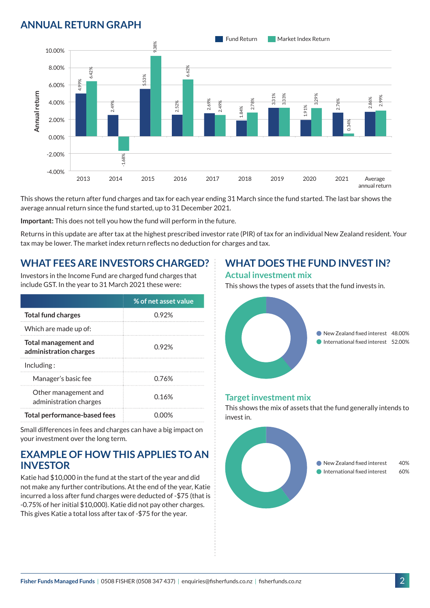## **ANNUAL RETURN GRAPH**



This shows the return after fund charges and tax for each year ending 31 March since the fund started. The last bar shows the average annual return since the fund started, up to 31 December 2021.

**Important:** This does not tell you how the fund will perform in the future.

Returns in this update are after tax at the highest prescribed investor rate (PIR) of tax for an individual New Zealand resident. Your tax may be lower. The market index return reflects no deduction for charges and tax.

### **WHAT FEES ARE INVESTORS CHARGED?**

Investors in the Income Fund are charged fund charges that include GST. In the year to 31 March 2021 these were:

|                                                | % of net asset value |  |
|------------------------------------------------|----------------------|--|
| <b>Total fund charges</b>                      | 0.92%                |  |
| Which are made up of:                          |                      |  |
| Total management and<br>administration charges | በ 92%                |  |
| Inding:                                        |                      |  |
| Manager's basic fee                            | 0.76%                |  |
| Other management and<br>administration charges | 0.16%                |  |
| <b>Total performance-based fees</b>            |                      |  |

Small differences in fees and charges can have a big impact on your investment over the long term.

### **EXAMPLE OF HOW THIS APPLIES TO AN INVESTOR**

Katie had \$10,000 in the fund at the start of the year and did not make any further contributions. At the end of the year, Katie incurred a loss after fund charges were deducted of -\$75 (that is -0.75% of her initial \$10,000). Katie did not pay other charges. This gives Katie a total loss after tax of -\$75 for the year.

## **WHAT DOES THE FUND INVEST IN?**

#### **Actual investment mix**

This shows the types of assets that the fund invests in.



#### **Target investment mix**

This shows the mix of assets that the fund generally intends to invest in.